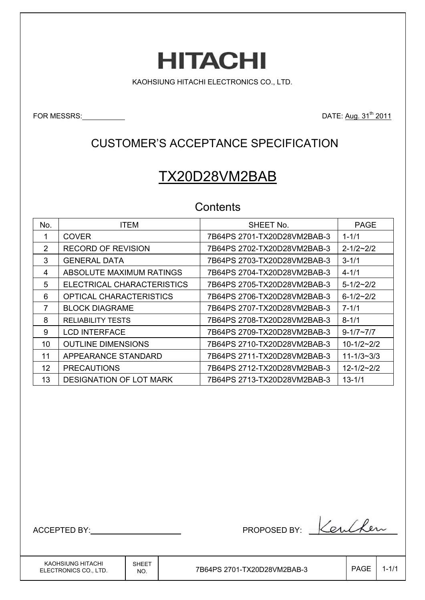# **HITACHI**

KAOHSIUNG HITACHI ELECTRONICS CO., LTD.

FOR MESSRS: <u>DATE: Aug. 31<sup>th</sup> 2011</u>

### CUSTOMER'S ACCEPTANCE SPECIFICATION

# TX20D28VM2BAB

#### **Contents**

| No. | <b>ITEM</b>                    | SHEET No.                   | PAGE               |
|-----|--------------------------------|-----------------------------|--------------------|
|     | <b>COVER</b>                   | 7B64PS 2701-TX20D28VM2BAB-3 | $1 - 1/1$          |
| 2   | <b>RECORD OF REVISION</b>      |                             | $2 - 1/2 - 2/2$    |
| 3   | <b>GENERAL DATA</b>            | 7B64PS 2703-TX20D28VM2BAB-3 | $3 - 1/1$          |
| 4   | ABSOLUTE MAXIMUM RATINGS       | 7B64PS 2704-TX20D28VM2BAB-3 | $4 - 1/1$          |
| 5   | ELECTRICAL CHARACTERISTICS     | 7B64PS 2705-TX20D28VM2BAB-3 | $5 - 1/2 \sim 2/2$ |
| 6   | <b>OPTICAL CHARACTERISTICS</b> | 7B64PS 2706-TX20D28VM2BAB-3 | $6 - 1/2 - 2/2$    |
| 7   | <b>BLOCK DIAGRAME</b>          | 7B64PS 2707-TX20D28VM2BAB-3 | $7 - 1/1$          |
| 8   | <b>RELIABILITY TESTS</b>       | 7B64PS 2708-TX20D28VM2BAB-3 | $8 - 1/1$          |
| 9   | <b>LCD INTERFACE</b>           | 7B64PS 2709-TX20D28VM2BAB-3 | $9 - 1/7 \sim 7/7$ |
| 10  | <b>OUTLINE DIMENSIONS</b>      | 7B64PS 2710-TX20D28VM2BAB-3 | $10 - 1/2 - 2/2$   |
| 11  | APPEARANCE STANDARD            |                             | $11 - 1/3 - 3/3$   |
| 12  | <b>PRECAUTIONS</b>             | 7B64PS 2712-TX20D28VM2BAB-3 | $12 - 1/2 - 2/2$   |
| 13  | DESIGNATION OF LOT MARK        |                             | $13 - 1/1$         |

ACCEPTED BY: NORTH PROPOSED BY: Keuther

KAOHSIUNG HITACHI ELECTRONICS CO., LTD.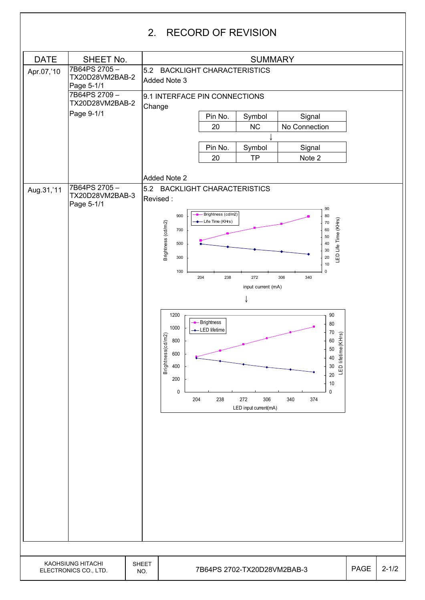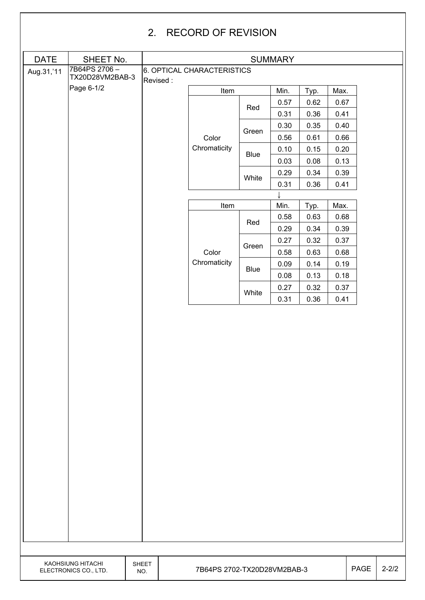|             |                                            |                     |                                        | 2. RECORD OF REVISION       |             |              |              |              |             |           |  |
|-------------|--------------------------------------------|---------------------|----------------------------------------|-----------------------------|-------------|--------------|--------------|--------------|-------------|-----------|--|
| <b>DATE</b> | SHEET No.                                  |                     | <b>SUMMARY</b>                         |                             |             |              |              |              |             |           |  |
| Aug.31,'11  | 7B64PS 2706-<br>TX20D28VM2BAB-3            |                     | 6. OPTICAL CHARACTERISTICS<br>Revised: |                             |             |              |              |              |             |           |  |
|             | Page 6-1/2                                 |                     |                                        | Item                        |             | Min.         | Typ.         | Max.         |             |           |  |
|             |                                            |                     |                                        |                             | Red         | 0.57         | 0.62         | 0.67         |             |           |  |
|             |                                            |                     |                                        |                             |             | 0.31         | 0.36         | 0.41         |             |           |  |
|             |                                            |                     |                                        |                             | Green       | 0.30         | 0.35         | 0.40         |             |           |  |
|             |                                            |                     |                                        | Color                       |             | 0.56         | 0.61         | 0.66         |             |           |  |
|             |                                            |                     |                                        | Chromaticity                | <b>Blue</b> | 0.10         | 0.15         | 0.20         |             |           |  |
|             |                                            |                     |                                        |                             |             | 0.03         | 0.08         | 0.13         |             |           |  |
|             |                                            |                     |                                        |                             | White       | 0.29         | 0.34         | 0.39         |             |           |  |
|             |                                            |                     |                                        |                             |             | 0.31         | 0.36         | 0.41         |             |           |  |
|             |                                            |                     |                                        |                             |             |              |              |              |             |           |  |
|             |                                            |                     |                                        | Item                        |             | Min.<br>0.58 | Typ.<br>0.63 | Max.<br>0.68 |             |           |  |
|             |                                            |                     |                                        |                             | Red         | 0.29         | 0.34         | 0.39         |             |           |  |
|             |                                            |                     |                                        |                             |             | 0.27         | 0.32         | 0.37         |             |           |  |
|             |                                            |                     |                                        | Color                       | Green       | 0.58         | 0.63         | 0.68         |             |           |  |
|             |                                            |                     |                                        | Chromaticity                |             | 0.09         | 0.14         | 0.19         |             |           |  |
|             |                                            |                     |                                        |                             | <b>Blue</b> | 0.08         | 0.13         | 0.18         |             |           |  |
|             |                                            |                     |                                        |                             |             | 0.27         | 0.32         | 0.37         |             |           |  |
|             |                                            |                     |                                        |                             | White       | 0.31         | 0.36         | 0.41         |             |           |  |
|             |                                            |                     |                                        |                             |             |              |              |              |             |           |  |
|             |                                            |                     |                                        |                             |             |              |              |              |             |           |  |
|             | KAOHSIUNG HITACHI<br>ELECTRONICS CO., LTD. | <b>SHEET</b><br>NO. |                                        | 7B64PS 2702-TX20D28VM2BAB-3 |             |              |              |              | <b>PAGE</b> | $2 - 2/2$ |  |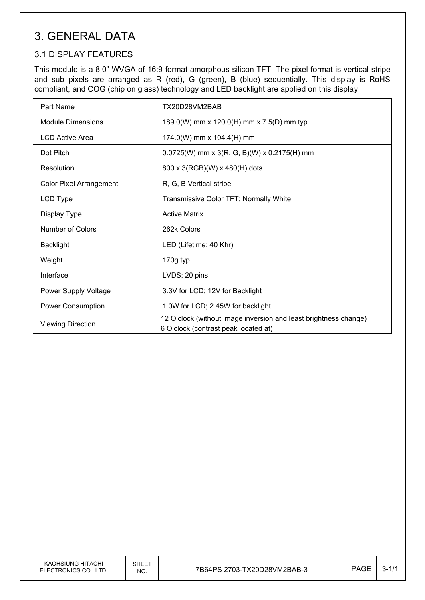# 3. GENERAL DATA

#### 3.1 DISPLAY FEATURES

This module is a 8.0" WVGA of 16:9 format amorphous silicon TFT. The pixel format is vertical stripe and sub pixels are arranged as R (red), G (green), B (blue) sequentially. This display is RoHS compliant, and COG (chip on glass) technology and LED backlight are applied on this display.

| Part Name                      | TX20D28VM2BAB                                                                                            |
|--------------------------------|----------------------------------------------------------------------------------------------------------|
| <b>Module Dimensions</b>       | 189.0(W) mm x 120.0(H) mm x 7.5(D) mm typ.                                                               |
| LCD Active Area                | 174.0(W) mm x 104.4(H) mm                                                                                |
| Dot Pitch                      | $0.0725(W)$ mm x 3(R, G, B)(W) x 0.2175(H) mm                                                            |
| Resolution                     | 800 x 3(RGB)(W) x 480(H) dots                                                                            |
| <b>Color Pixel Arrangement</b> | R, G, B Vertical stripe                                                                                  |
| LCD Type                       | Transmissive Color TFT; Normally White                                                                   |
| Display Type                   | <b>Active Matrix</b>                                                                                     |
| Number of Colors               | 262k Colors                                                                                              |
| <b>Backlight</b>               | LED (Lifetime: 40 Khr)                                                                                   |
| Weight                         | 170g typ.                                                                                                |
| Interface                      | LVDS; 20 pins                                                                                            |
| <b>Power Supply Voltage</b>    | 3.3V for LCD; 12V for Backlight                                                                          |
| Power Consumption              | 1.0W for LCD; 2.45W for backlight                                                                        |
| <b>Viewing Direction</b>       | 12 O'clock (without image inversion and least brightness change)<br>6 O'clock (contrast peak located at) |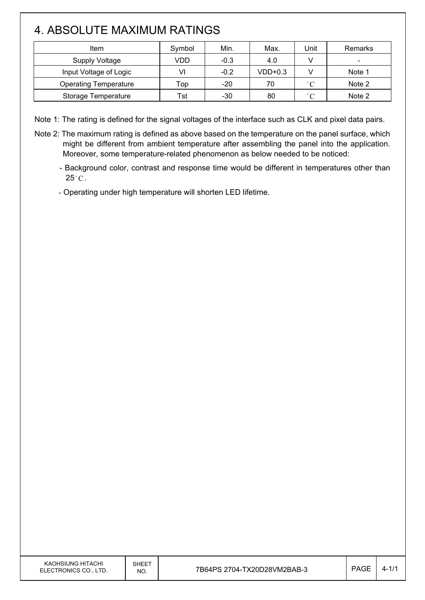# 4. ABSOLUTE MAXIMUM RATINGS

 $\overline{\phantom{a}}$ 

| Item                         | Symbol | Min.   | Max.      | Unit              | Remarks                  |
|------------------------------|--------|--------|-----------|-------------------|--------------------------|
| <b>Supply Voltage</b>        | VDD    | $-0.3$ | 4.0       |                   | $\overline{\phantom{a}}$ |
| Input Voltage of Logic       | VI     | $-0.2$ | $VDD+0.3$ |                   | Note 1                   |
| <b>Operating Temperature</b> | Top    | $-20$  | 70        | $^{\circ}$ $\cap$ | Note 2                   |
| Storage Temperature          | Tst    | $-30$  | 80        | $^{\circ}$ $\cap$ | Note 2                   |

Note 1: The rating is defined for the signal voltages of the interface such as CLK and pixel data pairs.

- Note 2: The maximum rating is defined as above based on the temperature on the panel surface, which might be different from ambient temperature after assembling the panel into the application. Moreover, some temperature-related phenomenon as below needed to be noticed:
	- Background color, contrast and response time would be different in temperatures other than  $25^{\circ}$ C.
	- Operating under high temperature will shorten LED lifetime.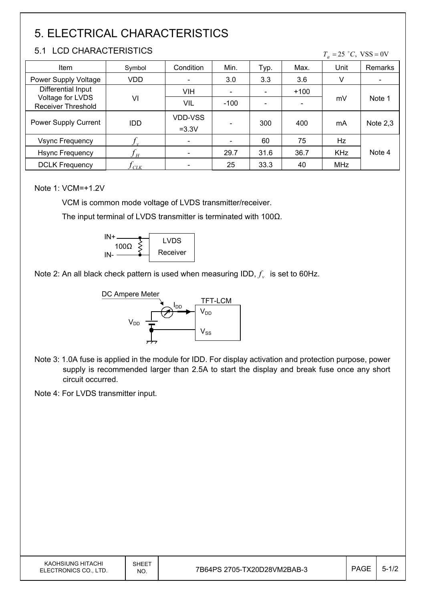# 5. ELECTRICAL CHARACTERISTICS

#### 5.1 LCD CHARACTERISTICS

 $T_a = 25$  °C, VSS = 0V

| <b>Item</b>                                   | Symbol       | Condition                | Min.                     | Typ. | Max.                     | Unit       | Remarks    |
|-----------------------------------------------|--------------|--------------------------|--------------------------|------|--------------------------|------------|------------|
| Power Supply Voltage                          | VDD          | $\overline{\phantom{a}}$ | 3.0                      | 3.3  | 3.6                      | V          |            |
| Differential Input                            |              | <b>VIH</b>               | $\overline{\phantom{0}}$ |      | $+100$                   |            |            |
| Voltage for LVDS<br><b>Receiver Threshold</b> | VI           | VIL                      | $-100$                   |      | $\overline{\phantom{0}}$ | mV         | Note 1     |
| Power Supply Current                          | <b>IDD</b>   | VDD-VSS<br>$=3.3V$       |                          | 300  | 400                      | mA         | Note $2,3$ |
| <b>Vsync Frequency</b>                        | $\mathbf{v}$ | $\overline{\phantom{a}}$ |                          | 60   | 75                       | Hz         |            |
| <b>Hsync Frequency</b>                        | H            | $\overline{\phantom{a}}$ | 29.7                     | 31.6 | 36.7                     | <b>KHz</b> | Note 4     |
| <b>DCLK Frequency</b>                         | CLK          |                          | 25                       | 33.3 | 40                       | MHz        |            |

Note 1: VCM=+1.2V

VCM is common mode voltage of LVDS transmitter/receiver.

The input terminal of LVDS transmitter is terminated with 100 $\Omega$ .



Note 2: An all black check pattern is used when measuring IDD,  $f_v$  is set to 60Hz.



Note 3: 1.0A fuse is applied in the module for IDD. For display activation and protection purpose, power supply is recommended larger than 2.5A to start the display and break fuse once any short circuit occurred.

Note 4: For LVDS transmitter input.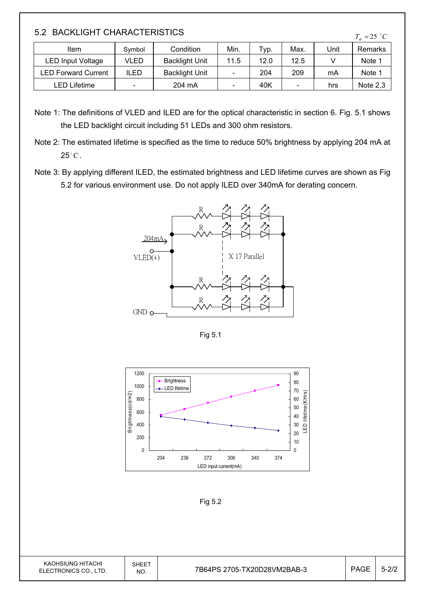#### 5.2 BACKLIGHT CHARACTERISTICS

| 2.4 DAVNEJOHT VEMNAV ELNOTIVO |                          |                       |                              |      |      |      |            |  |  |
|-------------------------------|--------------------------|-----------------------|------------------------------|------|------|------|------------|--|--|
| Item                          | Symbol                   | Condition             | Min.                         | Typ. | Max. | Unit | Remarks    |  |  |
| <b>LED Input Voltage</b>      | VLED                     | <b>Backlight Unit</b> | 11.5                         | 12.0 | 12.5 |      | Note 1     |  |  |
| <b>LED Forward Current</b>    | <b>ILED</b>              | <b>Backlight Unit</b> | $\qquad \qquad \blacksquare$ | 204  | 209  | mA   | Note 1     |  |  |
| LED Lifetime                  | $\overline{\phantom{a}}$ | 204 mA                | $\qquad \qquad \blacksquare$ | 40K  | -    | hrs  | Note $2,3$ |  |  |

- Note 1: The definitions of VLED and ILED are for the optical characteristic in section 6. Fig. 5.1 shows the LED backlight circuit including 51 LEDs and 300 ohm resistors.
- Note 2: The estimated lifetime is specified as the time to reduce 50% brightness by applying 204 mA at  $25^{\circ}$ C.
- Note 3: By applying different ILED, the estimated brightness and LED lifetime curves are shown as Fig 5.2 for various environment use. Do not apply ILED over 340mA for derating concern.



Fig 5.1



Fig 5.2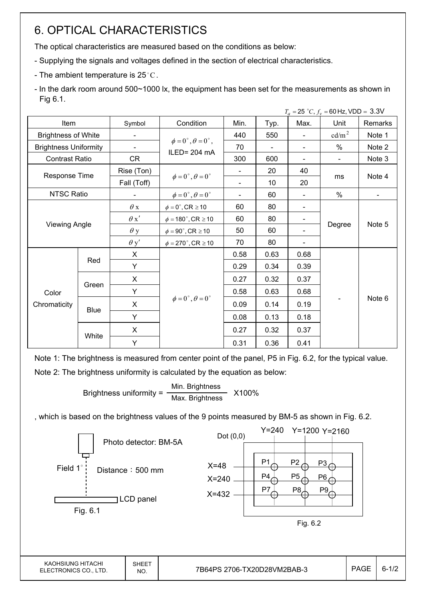# 6. OPTICAL CHARACTERISTICS

The optical characteristics are measured based on the conditions as below:

- Supplying the signals and voltages defined in the section of electrical characteristics.
- The ambient temperature is 25 $^{\circ}$ C.

- In the dark room around 500~1000 lx, the equipment has been set for the measurements as shown in Fig 6.1.

|                              |             |                              |                                          |                |                |      | $T_a = 25 °C, f_v = 60 Hz, VDD = 3.3 V$ |                |
|------------------------------|-------------|------------------------------|------------------------------------------|----------------|----------------|------|-----------------------------------------|----------------|
| Item                         |             | Symbol                       | Condition                                | Min.           | Typ.           | Max. | Unit                                    | Remarks        |
| <b>Brightness of White</b>   |             |                              |                                          | 440            | 550            |      | cd/m <sup>2</sup>                       | Note 1         |
| <b>Brightness Uniformity</b> |             | $\qquad \qquad \blacksquare$ | $\phi = 0^{\circ}, \theta = 0^{\circ}$ , | 70             | $\blacksquare$ |      | $\%$                                    | Note 2         |
| <b>Contrast Ratio</b>        |             | CR                           | ILED=204 mA                              | 300            | 600            |      | $\overline{\phantom{a}}$                | Note 3         |
|                              |             | Rise (Ton)                   |                                          |                | 20             | 40   |                                         |                |
| Response Time                |             | Fall (Toff)                  | $\phi = 0^\circ$ , $\theta = 0^\circ$    |                | 10             | 20   | ms                                      | Note 4         |
| <b>NTSC Ratio</b>            |             |                              | $\phi = 0^{\circ}, \theta = 0^{\circ}$   | $\blacksquare$ | 60             |      | $\%$                                    | $\blacksquare$ |
|                              |             | $\theta$ x                   | $\phi = 0^\circ$ , CR $\geq 10$          | 60             | 80             |      |                                         |                |
|                              |             | $\theta x'$                  | $\phi = 180^{\circ}$ , CR $\geq 10$      | 60             | 80             |      | Degree                                  |                |
| <b>Viewing Angle</b>         |             | $\theta$ y                   | $\phi = 90^{\circ}$ , CR $\geq 10$       | 50             | 60             |      |                                         | Note 5         |
|                              |             | $\theta$ y'                  | $\phi = 270^\circ$ , CR $\geq 10$        | 70             | 80             |      |                                         |                |
|                              |             | X                            |                                          | 0.58           | 0.63           | 0.68 |                                         |                |
|                              | Red         | Y                            |                                          | 0.29           | 0.34           | 0.39 |                                         |                |
|                              |             | X                            |                                          | 0.27           | 0.32           | 0.37 |                                         |                |
| Color                        | Green       | Y                            |                                          | 0.58           | 0.63           | 0.68 |                                         |                |
| Chromaticity                 |             | X                            | $\phi = 0^{\circ}, \theta = 0^{\circ}$   | 0.09           | 0.14           | 0.19 |                                         | Note 6         |
|                              | <b>Blue</b> | Y                            |                                          | 0.08           | 0.13           | 0.18 |                                         |                |
|                              |             | X                            |                                          | 0.27           | 0.32           | 0.37 |                                         |                |
|                              | White       | Y                            |                                          | 0.31           | 0.36           | 0.41 |                                         |                |

Note 1: The brightness is measured from center point of the panel, P5 in Fig. 6.2, for the typical value. Note 2: The brightness uniformity is calculated by the equation as below:

> Brightness uniformity =  $\frac{\text{Min.}_{\text{Br}}}{\text{Min.}_{\text{B}}}\times 100\%$ Max. Brightness

, which is based on the brightness values of the 9 points measured by BM-5 as shown in Fig. 6.2.

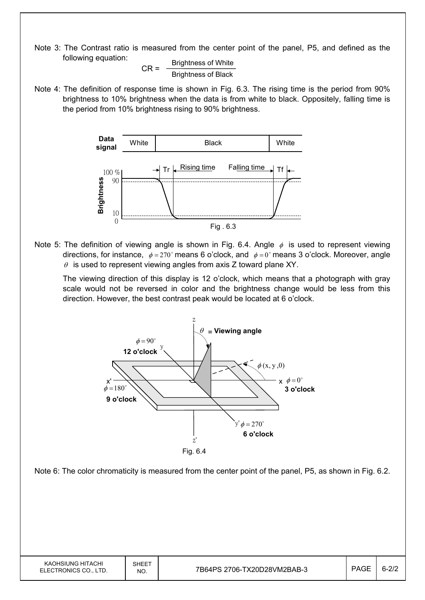Note 3: The Contrast ratio is measured from the center point of the panel, P5, and defined as the following equation:

$$
CR = \frac{Brightness \space of \space White}{Brightness \space of \space Black}
$$

Note 4: The definition of response time is shown in Fig. 6.3. The rising time is the period from 90% brightness to 10% brightness when the data is from white to black. Oppositely, falling time is the period from 10% brightness rising to 90% brightness.



Note 5: The definition of viewing angle is shown in Fig. 6.4. Angle  $\phi$  is used to represent viewing directions, for instance,  $\phi = 270^\circ$  means 6 o'clock, and  $\phi = 0^\circ$  means 3 o'clock. Moreover, angle  $\theta$  is used to represent viewing angles from axis Z toward plane XY.

 The viewing direction of this display is 12 o'clock, which means that a photograph with gray scale would not be reversed in color and the brightness change would be less from this direction. However, the best contrast peak would be located at 6 o'clock.

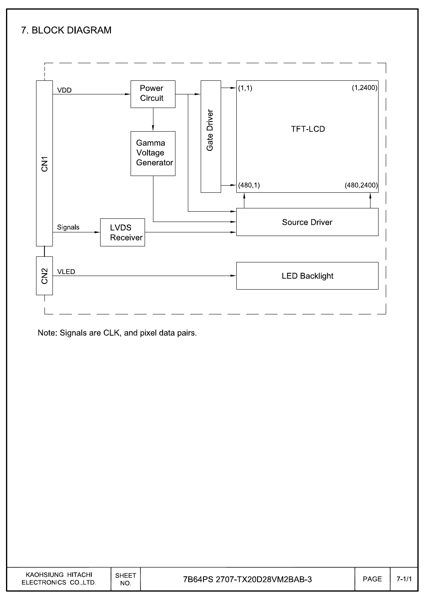#### 7. BLOCK DIAGRAM



Note: Signals are CLK, and pixel data pairs.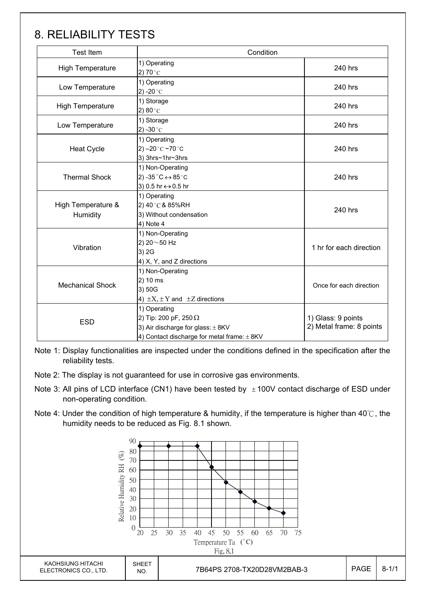# 8. RELIABILITY TESTS

| <b>Test Item</b>               | Condition                                                                                                                            |                                                |
|--------------------------------|--------------------------------------------------------------------------------------------------------------------------------------|------------------------------------------------|
| <b>High Temperature</b>        | 1) Operating<br>2) 70 $^{\circ}$ C                                                                                                   | 240 hrs                                        |
| Low Temperature                | 1) Operating<br>2) -20 $^{\circ}$ C                                                                                                  | 240 hrs                                        |
| <b>High Temperature</b>        | 1) Storage<br>2) 80 $^{\circ}$ C                                                                                                     | 240 hrs                                        |
| Low Temperature                | 1) Storage<br>2) -30 $^{\circ}$ C                                                                                                    | 240 hrs                                        |
| <b>Heat Cycle</b>              | 1) Operating<br>2) $-20$ °C $-70$ °C<br>3) 3hrs~1hr~3hrs                                                                             | 240 hrs                                        |
| <b>Thermal Shock</b>           | 1) Non-Operating<br>2) -35 $^{\circ}$ C $\leftrightarrow$ 85 $^{\circ}$ C<br>3) 0.5 hr ↔ 0.5 hr                                      | 240 hrs                                        |
| High Temperature &<br>Humidity | 1) Operating<br>2) 40°C & 85%RH<br>3) Without condensation<br>4) Note 4                                                              | 240 hrs                                        |
| Vibration                      | 1) Non-Operating<br>2) $20 \sim 50$ Hz<br>3) 2G<br>4) X, Y, and Z directions                                                         | 1 hr for each direction                        |
| <b>Mechanical Shock</b>        | 1) Non-Operating<br>2) 10 ms<br>3) 50G<br>4) $\pm X$ , $\pm Y$ and $\pm Z$ directions                                                | Once for each direction                        |
| <b>ESD</b>                     | 1) Operating<br>2) Tip: 200 pF, 250 $\Omega$<br>3) Air discharge for glass: $\pm$ 8KV<br>4) Contact discharge for metal frame: ± 8KV | 1) Glass: 9 points<br>2) Metal frame: 8 points |

Note 1: Display functionalities are inspected under the conditions defined in the specification after the reliability tests.

Note 2: The display is not guaranteed for use in corrosive gas environments.

- Note 3: All pins of LCD interface (CN1) have been tested by  $\pm 100V$  contact discharge of ESD under non-operating condition.
- Note 4: Under the condition of high temperature & humidity, if the temperature is higher than 40°C, the humidity needs to be reduced as Fig. 8.1 shown.

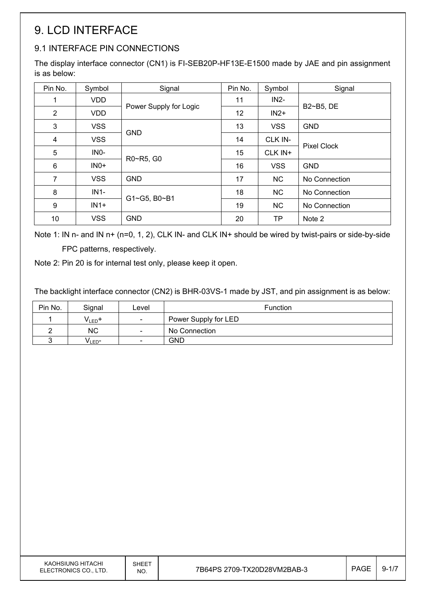# 9. LCD INTERFACE

#### 9.1 INTERFACE PIN CONNECTIONS

The display interface connector (CN1) is FI-SEB20P-HF13E-E1500 made by JAE and pin assignment is as below:

| Pin No.        | Symbol     | Signal                 | Pin No. | Symbol     | Signal             |
|----------------|------------|------------------------|---------|------------|--------------------|
| 1              | <b>VDD</b> |                        | 11      | $IN2-$     | B2~B5, DE          |
| $\overline{2}$ | <b>VDD</b> | Power Supply for Logic | 12      | $IN2+$     |                    |
| $\mathfrak{S}$ | <b>VSS</b> |                        | 13      | <b>VSS</b> | <b>GND</b>         |
| 4              | <b>VSS</b> | <b>GND</b>             | 14      | CLK IN-    |                    |
| 5              | INO-       | R0~R5, G0              | 15      | CLK IN+    | <b>Pixel Clock</b> |
| 6              | $INO+$     |                        | 16      | <b>VSS</b> | <b>GND</b>         |
| 7              | <b>VSS</b> | <b>GND</b>             | 17      | <b>NC</b>  | No Connection      |
| 8              | $IN1-$     | G1~G5, B0~B1           | 18      | <b>NC</b>  | No Connection      |
| 9              | $IN1+$     |                        | 19      | <b>NC</b>  | No Connection      |
| 10             | <b>VSS</b> | <b>GND</b>             | 20      | <b>TP</b>  | Note 2             |

Note 1: IN n- and IN n+ (n=0, 1, 2), CLK IN- and CLK IN+ should be wired by twist-pairs or side-by-side FPC patterns, respectively.

Note 2: Pin 20 is for internal test only, please keep it open.

The backlight interface connector (CN2) is BHR-03VS-1 made by JST, and pin assignment is as below:

| Pin No. | Signal      | Level                    | <b>Function</b>      |
|---------|-------------|--------------------------|----------------------|
|         | $V_{LED}$ + | $\overline{\phantom{a}}$ | Power Supply for LED |
|         | <b>NC</b>   | $\overline{\phantom{a}}$ | No Connection        |
|         | VLED-       | $\overline{\phantom{a}}$ | <b>GND</b>           |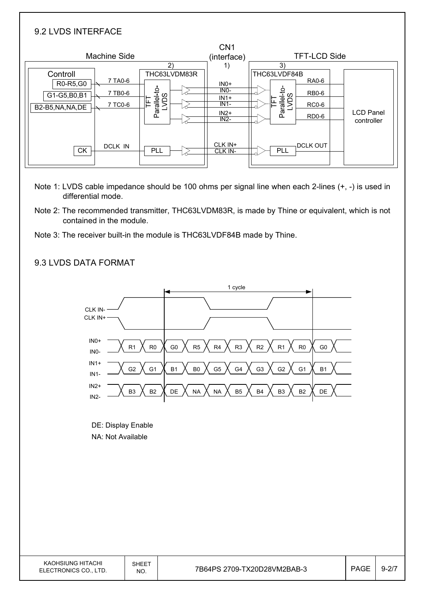| 9.2 LVDS INTERFACE                                       |                               |                                           |                                                                     |                                                                                                    |                                |
|----------------------------------------------------------|-------------------------------|-------------------------------------------|---------------------------------------------------------------------|----------------------------------------------------------------------------------------------------|--------------------------------|
|                                                          | <b>Machine Side</b>           | (2)                                       | CN <sub>1</sub><br>(interface)<br>1)                                | <b>TFT-LCD Side</b><br>3)                                                                          |                                |
| Controll<br>R0-R5,G0<br>G1-G5,B0,B1<br>B2-B5, NA, NA, DE | 7 TA0-6<br>7 TB0-6<br>7 TC0-6 | THC63LVDM83R<br>Parallel-to-<br>LVDS<br>띹 | $INO+$<br>IN <sub>0</sub> -<br>$IN1+$<br>$IN1-$<br>$IN2+$<br>$IN2-$ | THC63LVDF84B<br>RA0-6<br>Parallel-to-<br>LVDS<br><b>RB0-6</b><br>뇬<br><b>RC0-6</b><br><b>RD0-6</b> | <b>LCD Panel</b><br>controller |
| <b>CK</b>                                                | <b>DCLK IN</b>                | PLL                                       | CLK IN+<br>CLK IN-                                                  | <b>DCLK OUT</b><br>PLL                                                                             |                                |

- Note 1: LVDS cable impedance should be 100 ohms per signal line when each 2-lines (+, -) is used in differential mode.
- Note 2: The recommended transmitter, THC63LVDM83R, is made by Thine or equivalent, which is not contained in the module.
- Note 3: The receiver built-in the module is THC63LVDF84B made by Thine.

#### 9.3 LVDS DATA FORMAT

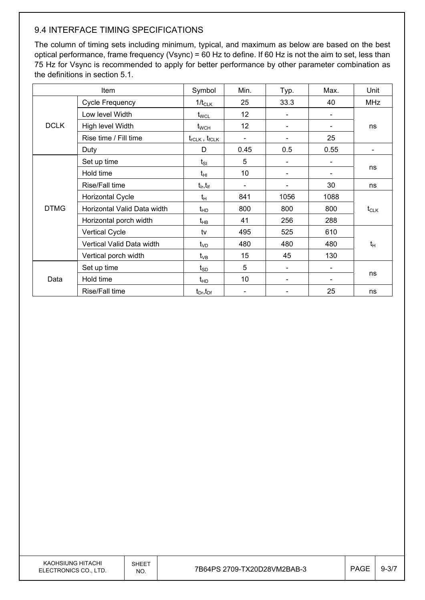#### 9.4 INTERFACE TIMING SPECIFICATIONS

The column of timing sets including minimum, typical, and maximum as below are based on the best optical performance, frame frequency (Vsync) = 60 Hz to define. If 60 Hz is not the aim to set, less than 75 Hz for Vsync is recommended to apply for better performance by other parameter combination as the definitions in section 5.1.

| Item        |                             | Symbol                          | Min.                     | Typ. | Max. | Unit       |  |
|-------------|-----------------------------|---------------------------------|--------------------------|------|------|------------|--|
|             | <b>Cycle Frequency</b>      | $1/t_{CLK}$                     | 25                       | 33.3 | 40   | <b>MHz</b> |  |
|             | Low level Width             | $t_{\text{WCL}}$                | 12                       |      |      |            |  |
| <b>DCLK</b> | High level Width            | $t_{\scriptscriptstyle\rm WCH}$ | 12                       |      |      | ns         |  |
|             | Rise time / Fill time       | $t_{rCLK}$ , $t_{fCLK}$         | $\overline{\phantom{a}}$ |      | 25   |            |  |
|             | Duty                        | D                               | 0.45                     | 0.5  | 0.55 |            |  |
|             | Set up time                 | $t_{SI}$                        | 5                        |      |      |            |  |
|             | Hold time                   | $t_{\rm HI}$                    | 10                       |      |      | ns         |  |
|             | Rise/Fall time              | $t_{\sf lr}, t_{\sf lf}$        |                          |      | 30   | ns         |  |
|             | <b>Horizontal Cycle</b>     | $t_H$                           | 841                      | 1056 | 1088 |            |  |
| <b>DTMG</b> | Horizontal Valid Data width | $t_{HD}$                        | 800                      | 800  | 800  | $t_{CLK}$  |  |
|             | Horizontal porch width      | $t_{HB}$                        | 41                       | 256  | 288  |            |  |
|             | <b>Vertical Cycle</b>       | tv                              | 495                      | 525  | 610  |            |  |
|             | Vertical Valid Data width   | $t_{VD}$                        | 480                      | 480  | 480  | $t_H$      |  |
|             | Vertical porch width        | $t_{VB}$                        | 15                       | 45   | 130  |            |  |
| Data        | Set up time                 | $\mathfrak{t}_{\texttt{SD}}$    | 5                        |      |      |            |  |
|             | Hold time                   | $t_{HD}$                        | 10                       |      |      | ns         |  |
|             | Rise/Fall time              | $t_{Dr}$ , $t_{Dr}$             |                          |      | 25   | ns         |  |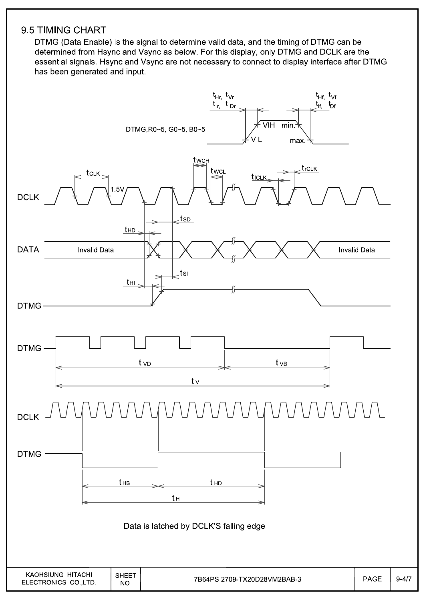#### 9.5 TIMING CHART

DTMG (Data Enable) is the signal to determine valid data, and the timing of DTMG can be determined from Hsync and Vsync as below. For this display, only DTMG and DCLK are the essential signals. Hsync and Vsync are not necessary to connect to display interface after DTMG has been generated and input.

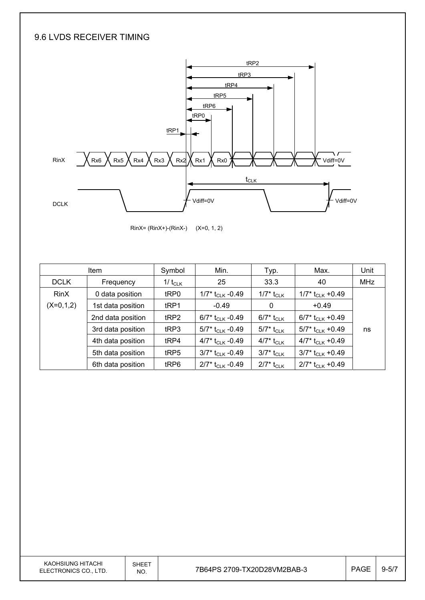#### 9.6 LVDS RECEIVER TIMING



RinX= (RinX+)-(RinX-) (X=0, 1, 2)

|             | <b>Item</b>       | Symbol           | Min.                           | Typ.                                         | Max.                           | Unit       |
|-------------|-------------------|------------------|--------------------------------|----------------------------------------------|--------------------------------|------------|
| <b>DCLK</b> | Frequency         | 1/ $t_{CLK}$     | 25                             | 33.3                                         | 40                             | <b>MHz</b> |
| <b>RinX</b> | 0 data position   | tRP0             | 1/7* $t_{CLK}$ -0.49           | 1/7* t <sub>CLK</sub>                        | 1/7* t <sub>CLK</sub> +0.49    |            |
| $(X=0,1,2)$ | 1st data position | t <sub>RP1</sub> | $-0.49$                        | 0                                            | $+0.49$                        |            |
|             | 2nd data position | tRP2             | 6/7* $t_{CLK}$ -0.49           | 6/7* $t_{\scriptstyle\textrm{CLK}}$          | 6/7* $t_{CLK}$ +0.49           |            |
|             | 3rd data position | tRP3             | 5/7* t <sub>CLK</sub> -0.49    | 5/7* t <sub>CLK</sub>                        | $5/7$ * t <sub>CLK</sub> +0.49 | ns         |
|             | 4th data position | tRP4             | 4/7* $t_{CLK}$ -0.49           | 4/7* t <sub>CLK</sub>                        | 4/7* $t_{CLK}$ +0.49           |            |
|             | 5th data position | tRP5             | $3/7$ * t <sub>CLK</sub> -0.49 | $3/7^*$ $t_{\scriptscriptstyle{\text{CLK}}}$ | $3/7$ * t <sub>CLK</sub> +0.49 |            |
|             | 6th data position | tRP6             | $2/7$ * t <sub>CLK</sub> -0.49 | $2/7^*$ t <sub>CLK</sub>                     | $2/7$ * t <sub>CLK</sub> +0.49 |            |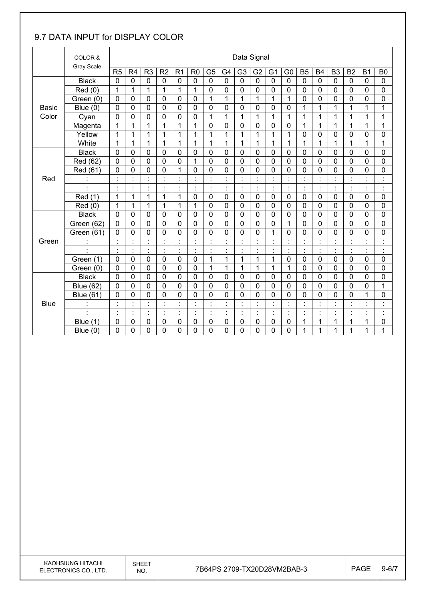#### 9.7 DATA INPUT for DISPLAY COLOR

|              | COLOR &              |                |                |                                  |                      |                           |                |                |                           | Data Signal    |                                  |                          |                                  |                      |                |                      |                |                |                           |
|--------------|----------------------|----------------|----------------|----------------------------------|----------------------|---------------------------|----------------|----------------|---------------------------|----------------|----------------------------------|--------------------------|----------------------------------|----------------------|----------------|----------------------|----------------|----------------|---------------------------|
|              | <b>Gray Scale</b>    | R <sub>5</sub> | R <sub>4</sub> | R <sub>3</sub>                   | R <sub>2</sub>       | R <sub>1</sub>            | R <sub>0</sub> | G <sub>5</sub> | G4                        | G <sub>3</sub> | G <sub>2</sub>                   | G <sub>1</sub>           | G <sub>0</sub>                   | B <sub>5</sub>       | <b>B4</b>      | B <sub>3</sub>       | B <sub>2</sub> | <b>B1</b>      | B <sub>0</sub>            |
|              | <b>Black</b>         | $\mathbf 0$    | $\mathbf 0$    | $\mathbf 0$                      | $\mathbf 0$          | $\mathbf 0$               | 0              | $\mathbf 0$    | $\mathbf 0$               | $\mathbf 0$    | $\mathbf 0$                      | $\mathbf 0$              | $\mathbf 0$                      | $\mathbf 0$          | $\mathbf 0$    | $\mathbf 0$          | $\mathbf 0$    | $\mathbf 0$    | $\mathbf 0$               |
|              | Red (0)              | 1              | 1              | 1                                | $\overline{1}$       | $\overline{1}$            | 1              | $\mathbf 0$    | 0                         | 0              | $\mathbf 0$                      | 0                        | $\mathbf 0$                      | $\mathbf 0$          | 0              | $\mathbf 0$          | $\mathbf 0$    | $\mathbf 0$    | 0                         |
|              | Green (0)            | $\mathbf 0$    | 0              | $\mathbf 0$                      | $\mathbf 0$          | 0                         | $\mathbf 0$    | 1              | 1                         | 1              | 1                                | 1                        | 1                                | $\mathbf 0$          | 0              | $\mathbf 0$          | 0              | 0              | 0                         |
| <b>Basic</b> | Blue $(0)$           | $\mathbf 0$    | 0              | $\mathbf 0$                      | $\mathbf 0$          | $\mathbf 0$               | $\mathbf 0$    | $\mathbf 0$    | 0                         | 0              | $\mathbf 0$                      | 0                        | $\mathbf 0$                      | 1                    | 1              | 1                    | $\mathbf{1}$   | 1              | $\mathbf{1}$              |
| Color        | Cyan                 | $\mathbf 0$    | 0              | 0                                | $\mathbf 0$          | 0                         | $\mathbf 0$    | 1              | $\mathbf 1$               | 1              | 1                                | 1                        | 1                                | 1                    | 1              | 1                    | $\mathbf 1$    | 1              | 1                         |
|              | Magenta              | 1              | 1              | 1                                | 1                    | 1                         | 1              | 0              | 0                         | 0              | 0                                | 0                        | 0                                | 1                    | 1              | 1                    | 1              | 1              | 1                         |
|              | Yellow               | 1              | 1              | 1                                | 1                    | 1                         | 1              | 1              | 1                         | 1              | 1                                | 1                        | 1                                | $\mathbf 0$          | 0              | $\mathbf 0$          | $\mathbf 0$    | 0              | 0                         |
|              | White                | $\mathbf{1}$   | 1              | 1                                | 1                    | $\mathbf 1$               | 1              | 1              | 1                         | 1              | $\mathbf{1}$                     | 1                        | 1                                | 1                    | 1              | 1                    | 1              | 1              | 1                         |
|              | <b>Black</b>         | 0              | 0              | 0                                | $\mathbf 0$          | 0                         | 0              | 0              | 0                         | 0              | 0                                | 0                        | $\mathbf 0$                      | $\mathbf 0$          | 0              | $\mathbf 0$          | $\mathbf 0$    | $\mathbf 0$    | 0                         |
|              | Red (62)             | $\mathbf 0$    | $\mathbf 0$    | $\mathbf 0$                      | $\mathbf 0$          | 0                         | 1              | $\mathbf 0$    | $\overline{0}$            | $\mathbf 0$    | $\mathbf 0$                      | 0                        | $\mathbf 0$                      | $\mathbf 0$          | 0              | $\mathbf 0$          | $\mathbf 0$    | $\mathbf 0$    | 0                         |
|              | Red (61)             | 0              | $\mathbf 0$    | 0                                | $\mathbf 0$          | 1                         | $\mathbf 0$    | $\mathbf 0$    | 0                         | 0              | 0                                | 0                        | 0                                | $\mathbf 0$          | 0              | $\mathbf 0$          | 0              | 0              | 0                         |
| Red          |                      |                |                | $\blacksquare$                   |                      | $\cdot$                   |                | $\cdot$        | $\cdot$                   |                |                                  |                          | $\blacksquare$<br>$\cdot$        | $\blacksquare$       |                |                      |                | $\blacksquare$ | $\cdot$                   |
|              | $\cdot$              | $\blacksquare$ | $\blacksquare$ | $\blacksquare$                   | $\cdot$              | $\ddot{\cdot}$            | $\blacksquare$ | $\ddot{\cdot}$ | $\overline{\phantom{a}}$  | $\ddot{\cdot}$ | ÷,                               | $\overline{\phantom{a}}$ | Ì.                               | $\blacksquare$<br>ä, | $\ddot{\cdot}$ | $\blacksquare$       | $\ddot{\cdot}$ | ÷,             | $\ddot{\cdot}$            |
|              | Red (1)              | $\mathbf{1}$   | 1              | 1                                | 1                    | $\mathbf{1}$              | $\mathbf 0$    | $\mathbf 0$    | 0                         | $\mathbf 0$    | $\mathbf 0$                      | $\mathbf 0$              | $\mathbf 0$                      | $\mathbf 0$          | $\mathbf 0$    | $\mathbf 0$          | $\mathbf 0$    | $\mathbf 0$    | 0                         |
|              | Red(0)               | 1              | 1              | 1                                | 1                    | 1                         | 1              | $\mathbf 0$    | $\mathbf 0$               | 0              | 0                                | 0                        | 0                                | 0                    | 0              | 0                    | 0              | $\mathbf 0$    | 0                         |
|              | <b>Black</b>         | $\mathbf 0$    | 0              | 0                                | $\mathbf 0$          | 0                         | $\mathbf 0$    | $\mathbf 0$    | $\mathbf 0$               | 0              | 0                                | 0                        | $\mathbf 0$                      | $\mathbf 0$          | 0              | $\mathbf 0$          | $\mathbf 0$    | 0              | 0                         |
|              | Green (62)           | $\mathbf 0$    | 0              | $\mathbf 0$                      | $\mathbf 0$          | $\mathbf 0$               | $\mathbf 0$    | 0              | 0                         | 0              | $\mathbf 0$                      | 0                        | $\mathbf{1}$                     | $\mathbf 0$          | 0              | $\mathbf 0$          | $\mathbf 0$    | 0              | 0                         |
|              | Green (61)           | 0              | 0              | 0                                | $\mathbf 0$          | 0                         | $\mathbf 0$    | 0              | 0                         | 0              | 0                                | 1                        | 0                                | $\mathbf 0$          | 0              | 0                    | 0              | $\mathbf 0$    | 0                         |
| Green        |                      | $\cdot$        | $\ddot{\cdot}$ | $\ddot{\cdot}$                   | $\ddot{\cdot}$       | $\ddot{\cdot}$            |                | $\ddot{\cdot}$ | $\ddot{\cdot}$            | Ì              | Ì                                | $\ddot{\cdot}$           | $\ddot{\cdot}$                   | $\ddot{\cdot}$       | $\ddot{\cdot}$ | $\ddot{\phantom{a}}$ | ÷,             | ÷,             | $\ddot{\cdot}$            |
|              | $\ddot{\phantom{0}}$ | $\blacksquare$ | $\blacksquare$ | $\blacksquare$                   | $\blacksquare$       | $\blacksquare$<br>$\cdot$ | $\blacksquare$ | Ì.             | $\blacksquare$            | $\cdot$        | $\blacksquare$                   | ä,                       | $\blacksquare$<br>$\cdot$        | $\blacksquare$       | $\blacksquare$ | $\blacksquare$       | $\blacksquare$ | $\blacksquare$ | $\blacksquare$<br>٠       |
|              | Green (1)            | $\mathbf 0$    | 0              | $\mathbf 0$                      | $\mathbf 0$          | $\mathbf 0$               | $\mathbf 0$    | 1              | 1                         | 1              | 1                                | 1                        | 0                                | $\mathbf 0$          | $\mathbf 0$    | $\mathbf 0$          | $\mathbf 0$    | $\mathbf 0$    | 0                         |
|              | Green (0)            | 0              | 0              | 0                                | 0                    | 0                         | $\mathbf 0$    | 1              | 1                         | 1              | 1                                | 1                        | 1                                | $\mathbf 0$          | 0              | 0                    | $\mathbf 0$    | 0              | 0                         |
|              | <b>Black</b>         | $\mathbf 0$    | 0              | $\mathbf 0$                      | $\mathbf 0$          | $\mathbf 0$               | $\mathbf 0$    | $\mathbf 0$    | 0                         | 0              | 0                                | $\mathbf 0$              | 0                                | $\mathbf 0$          | 0              | $\mathbf 0$          | $\mathbf 0$    | 0              | 0                         |
|              | <b>Blue (62)</b>     | $\mathbf 0$    | 0              | $\mathbf 0$                      | $\mathbf 0$          | 0                         | $\mathbf 0$    | $\mathbf 0$    | 0                         | 0              | $\mathbf 0$                      | 0                        | $\mathbf 0$                      | $\mathbf 0$          | 0              | $\mathbf 0$          | 0              | 0              | 1                         |
|              | <b>Blue (61)</b>     | 0              | 0              | 0                                | 0                    | 0                         | 0              | 0              | 0                         | 0              | 0                                | 0                        | 0                                | $\mathbf 0$          | 0              | $\mathbf 0$          | 0              | 1              | 0                         |
| <b>Blue</b>  | İ.                   |                | Ì.             | $\ddot{\cdot}$                   | $\cdot$<br>$\lambda$ | $\ddot{\phantom{a}}$      |                | $\ddot{\cdot}$ | $\ddot{\phantom{a}}$      |                |                                  | $\ddot{\phantom{a}}$     | $\ddot{\cdot}$                   | $\ddot{\cdot}$       |                |                      | ÷,             | t              | $\cdot$<br>٠              |
|              | $\ddot{\phantom{a}}$ | $\blacksquare$ | ł,             | $\blacksquare$<br>$\blacksquare$ | $\blacksquare$       | $\ddot{\cdot}$            | $\blacksquare$ | $\ddot{\cdot}$ | $\blacksquare$<br>$\cdot$ | $\blacksquare$ | $\blacksquare$<br>$\blacksquare$ | $\ddot{\phantom{0}}$     | $\blacksquare$<br>$\blacksquare$ | $\blacksquare$       | $\cdot$        | $\blacksquare$       | ÷,             | $\blacksquare$ | $\cdot$<br>$\blacksquare$ |
|              | Blue $(1)$           | 0              | 0              | 0                                | $\mathbf 0$          | 0                         | 0              | 0              | 0                         | 0              | 0                                | 0                        | 0                                | 1                    | 1              | 1                    | 1              | 1              | 0                         |
|              | Blue $(0)$           | 0              | 0              | 0                                | 0                    | 0                         | 0              | 0              | $\mathbf 0$               | 0              | 0                                | 0                        | 0                                | 1                    | 1              | 1                    | 1              | 1              | 1                         |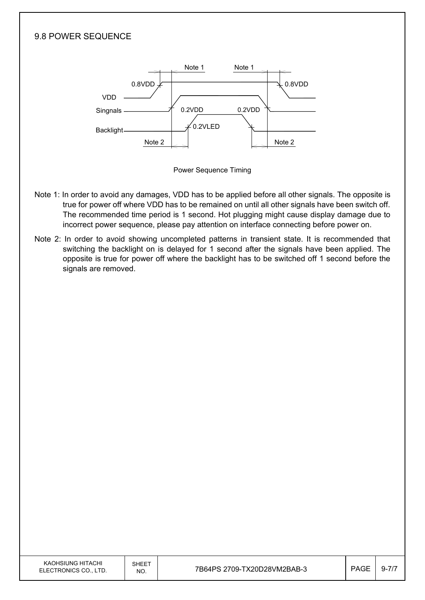#### 9.8 POWER SEQUENCE



Power Sequence Timing

- Note 1: In order to avoid any damages, VDD has to be applied before all other signals. The opposite is true for power off where VDD has to be remained on until all other signals have been switch off. The recommended time period is 1 second. Hot plugging might cause display damage due to incorrect power sequence, please pay attention on interface connecting before power on.
- Note 2: In order to avoid showing uncompleted patterns in transient state. It is recommended that switching the backlight on is delayed for 1 second after the signals have been applied. The opposite is true for power off where the backlight has to be switched off 1 second before the signals are removed.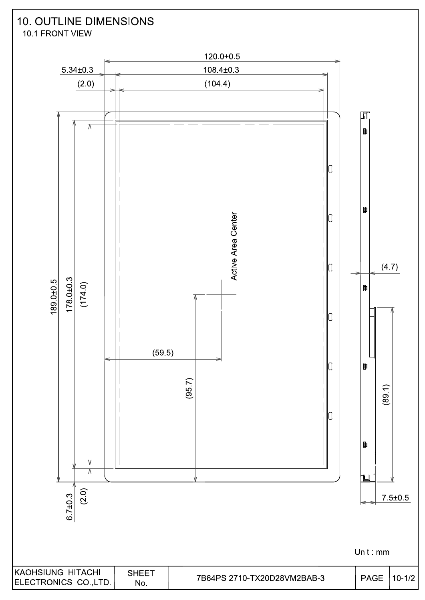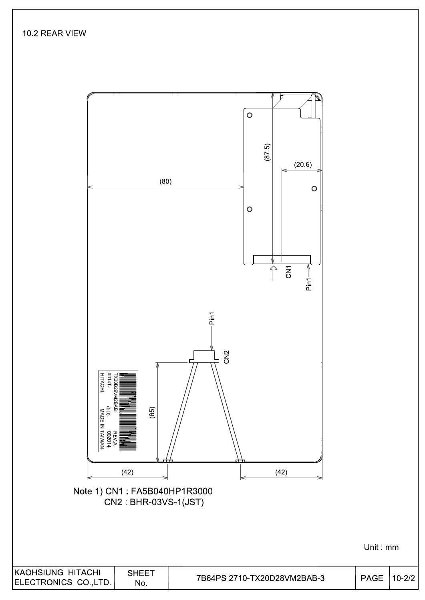10.2 REAR VIEW



Unit: mm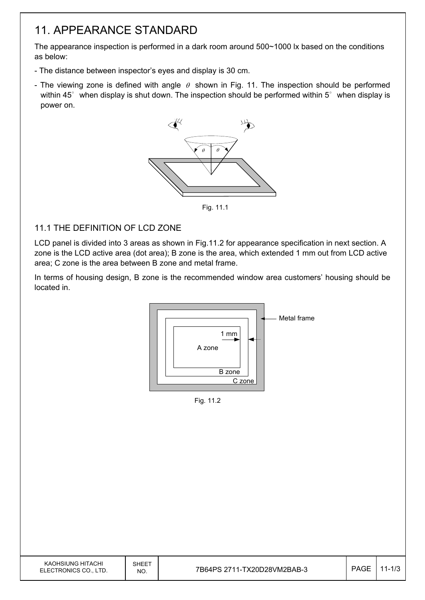### 11. APPEARANCE STANDARD

The appearance inspection is performed in a dark room around 500~1000 lx based on the conditions as below:

- The distance between inspector's eyes and display is 30 cm.
- The viewing zone is defined with angle  $\theta$  shown in Fig. 11. The inspection should be performed within 45 $\degree$  when display is shut down. The inspection should be performed within 5 $\degree$  when display is power on.



Fig. 11.1

#### 11.1 THE DEFINITION OF LCD ZONE

LCD panel is divided into 3 areas as shown in Fig.11.2 for appearance specification in next section. A zone is the LCD active area (dot area); B zone is the area, which extended 1 mm out from LCD active area; C zone is the area between B zone and metal frame.

In terms of housing design, B zone is the recommended window area customers' housing should be located in.



Fig. 11.2

| KAOHSIUNG HITACHI<br>ELECTRONICS CO., LTD. | SHEET<br>NO. | 7B64PS 2711-TX20D28VM2BAB-3 | <b>PAGE</b> | 1-1/0 |
|--------------------------------------------|--------------|-----------------------------|-------------|-------|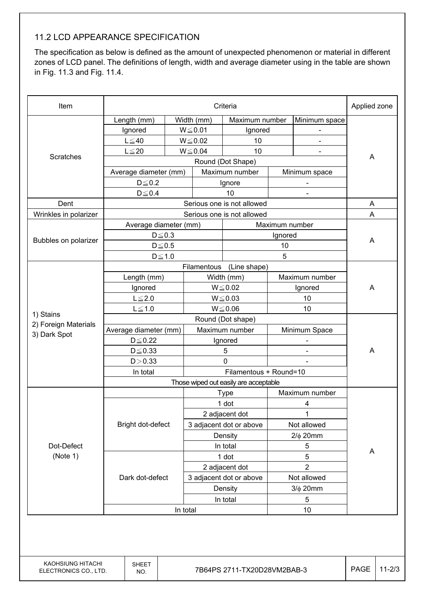#### 11.2 LCD APPEARANCE SPECIFICATION

The specification as below is defined as the amount of unexpected phenomenon or material in different zones of LCD panel. The definitions of length, width and average diameter using in the table are shown in Fig. 11.3 and Fig. 11.4.

| Item                                 | Criteria              |          |                         |                                       |                | Applied zone                 |   |
|--------------------------------------|-----------------------|----------|-------------------------|---------------------------------------|----------------|------------------------------|---|
|                                      | Length (mm)           |          | Width (mm)              | Maximum number                        |                | Minimum space                |   |
|                                      | Ignored               |          | $W \le 0.01$            | Ignored                               |                |                              |   |
|                                      | $L \leq 40$           |          | $W \le 0.02$<br>10      |                                       |                |                              |   |
|                                      | $L \leq 20$           |          | $W \le 0.04$<br>10      |                                       |                |                              |   |
| Scratches                            |                       |          |                         | Round (Dot Shape)                     |                |                              | A |
|                                      | Average diameter (mm) |          |                         | Maximum number                        |                | Minimum space                |   |
|                                      | $D \leq 0.2$          |          |                         | Ignore                                |                |                              |   |
|                                      | $D \le 0.4$           |          |                         | 10                                    |                | $\blacksquare$               |   |
| Dent                                 |                       |          |                         | Serious one is not allowed            |                |                              | A |
| Wrinkles in polarizer                |                       |          |                         | Serious one is not allowed            |                |                              | A |
|                                      | Average diameter (mm) |          |                         |                                       | Maximum number |                              |   |
|                                      | $D \leq 0.3$          |          |                         |                                       | Ignored        |                              |   |
| Bubbles on polarizer                 | $D\!\leq\!0.5$        |          |                         |                                       | 10             |                              | A |
|                                      | $D \le 1.0$           |          |                         |                                       | 5              |                              |   |
|                                      |                       |          | Filamentous             | (Line shape)                          |                |                              |   |
|                                      | Length (mm)           |          |                         | Width (mm)                            |                | Maximum number               |   |
|                                      | Ignored               |          |                         | $W \le 0.02$<br>Ignored               |                |                              | A |
|                                      | $L \leq 2.0$          |          |                         | $W \le 0.03$                          |                | 10                           |   |
|                                      | $L \leq 1.0$          |          |                         | $W \le 0.06$                          |                | 10                           |   |
| 1) Stains                            | Round (Dot shape)     |          |                         |                                       |                |                              |   |
| 2) Foreign Materials<br>3) Dark Spot | Average diameter (mm) |          |                         | Maximum number                        |                | Minimum Space                |   |
|                                      | $D \leq 0.22$         |          |                         | Ignored                               |                | $\overline{\phantom{a}}$     |   |
|                                      | $D \leq 0.33$         |          |                         | 5                                     |                | $\qquad \qquad \blacksquare$ | A |
|                                      | D > 0.33              |          |                         | 0                                     |                |                              |   |
|                                      | In total              |          |                         | Filamentous + Round=10                |                |                              |   |
|                                      |                       |          |                         | Those wiped out easily are acceptable |                |                              |   |
|                                      |                       |          |                         | <b>Type</b>                           |                | Maximum number               |   |
|                                      |                       |          | 1 dot                   |                                       | 4              |                              |   |
|                                      | Bright dot-defect     |          | 2 adjacent dot          |                                       |                |                              |   |
|                                      |                       |          | 3 adjacent dot or above |                                       | Not allowed    |                              |   |
|                                      |                       |          |                         | Density                               | $2/\phi$ 20mm  |                              |   |
| Dot-Defect                           |                       |          |                         | In total                              | 5              |                              | A |
| (Note 1)                             |                       |          |                         | 1 dot                                 | 5              |                              |   |
|                                      |                       |          |                         | 2 adjacent dot                        | $\overline{2}$ |                              |   |
|                                      | Dark dot-defect       |          |                         | 3 adjacent dot or above               |                | Not allowed                  |   |
|                                      |                       |          |                         | Density                               |                | $3/\phi$ 20mm                |   |
|                                      |                       |          | In total                |                                       |                | 5                            |   |
|                                      |                       | In total |                         |                                       |                | 10                           |   |
|                                      |                       |          |                         |                                       |                |                              |   |

KAOHSIUNG HITACHI ELECTRONICS CO., LTD.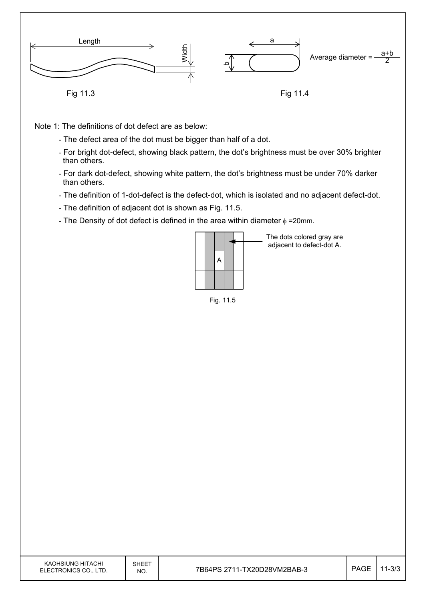

Note 1: The definitions of dot defect are as below:

- The defect area of the dot must be bigger than half of a dot.
- For bright dot-defect, showing black pattern, the dot's brightness must be over 30% brighter than others.
- For dark dot-defect, showing white pattern, the dot's brightness must be under 70% darker than others.
- The definition of 1-dot-defect is the defect-dot, which is isolated and no adjacent defect-dot.
- The definition of adjacent dot is shown as Fig. 11.5.
- The Density of dot defect is defined in the area within diameter  $\phi$  =20mm.

|  | A |  |  |
|--|---|--|--|
|  |   |  |  |

The dots colored gray are adjacent to defect-dot A.

Fig. 11.5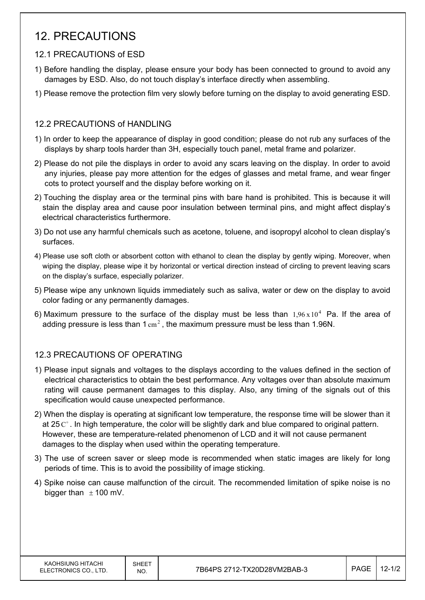### 12. PRECAUTIONS

#### 12.1 PRECAUTIONS of ESD

- 1) Before handling the display, please ensure your body has been connected to ground to avoid any damages by ESD. Also, do not touch display's interface directly when assembling.
- 1) Please remove the protection film very slowly before turning on the display to avoid generating ESD.

#### 12.2 PRECAUTIONS of HANDLING

- 1) In order to keep the appearance of display in good condition; please do not rub any surfaces of the displays by sharp tools harder than 3H, especially touch panel, metal frame and polarizer.
- 2) Please do not pile the displays in order to avoid any scars leaving on the display. In order to avoid any injuries, please pay more attention for the edges of glasses and metal frame, and wear finger cots to protect yourself and the display before working on it.
- 2) Touching the display area or the terminal pins with bare hand is prohibited. This is because it will stain the display area and cause poor insulation between terminal pins, and might affect display's electrical characteristics furthermore.
- 3) Do not use any harmful chemicals such as acetone, toluene, and isopropyl alcohol to clean display's surfaces.
- 4) Please use soft cloth or absorbent cotton with ethanol to clean the display by gently wiping. Moreover, when wiping the display, please wipe it by horizontal or vertical direction instead of circling to prevent leaving scars on the display's surface, especially polarizer.
- 5) Please wipe any unknown liquids immediately such as saliva, water or dew on the display to avoid color fading or any permanently damages.
- 6) Maximum pressure to the surface of the display must be less than  $1.96 \times 10^4$  Pa. If the area of adding pressure is less than  $1 \text{ cm}^2$ , the maximum pressure must be less than 1.96N.

#### 12.3 PRECAUTIONS OF OPERATING

- 1) Please input signals and voltages to the displays according to the values defined in the section of electrical characteristics to obtain the best performance. Any voltages over than absolute maximum rating will cause permanent damages to this display. Also, any timing of the signals out of this specification would cause unexpected performance.
- 2) When the display is operating at significant low temperature, the response time will be slower than it at 25 $C^{\circ}$ . In high temperature, the color will be slightly dark and blue compared to original pattern. However, these are temperature-related phenomenon of LCD and it will not cause permanent damages to the display when used within the operating temperature.
- 3) The use of screen saver or sleep mode is recommended when static images are likely for long periods of time. This is to avoid the possibility of image sticking.
- 4) Spike noise can cause malfunction of the circuit. The recommended limitation of spike noise is no bigger than  $\pm$  100 mV.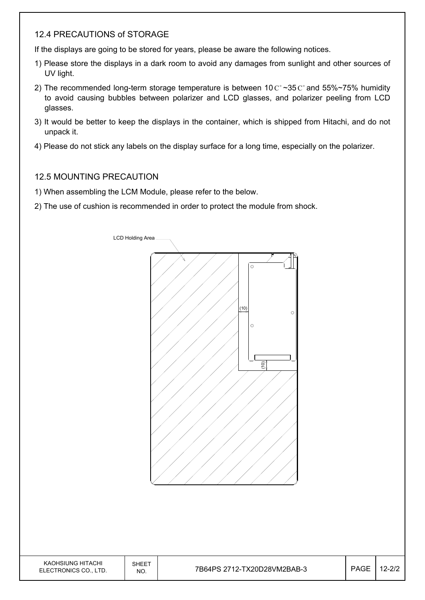#### 12.4 PRECAUTIONS of STORAGE

If the displays are going to be stored for years, please be aware the following notices.

- 1) Please store the displays in a dark room to avoid any damages from sunlight and other sources of UV light.
- 2) The recommended long-term storage temperature is between 10  $C^{\circ}$  ~35  $C^{\circ}$  and 55%~75% humidity to avoid causing bubbles between polarizer and LCD glasses, and polarizer peeling from LCD glasses.
- 3) It would be better to keep the displays in the container, which is shipped from Hitachi, and do not unpack it.
- 4) Please do not stick any labels on the display surface for a long time, especially on the polarizer.

#### 12.5 MOUNTING PRECAUTION

- 1) When assembling the LCM Module, please refer to the below.
- 2) The use of cushion is recommended in order to protect the module from shock.